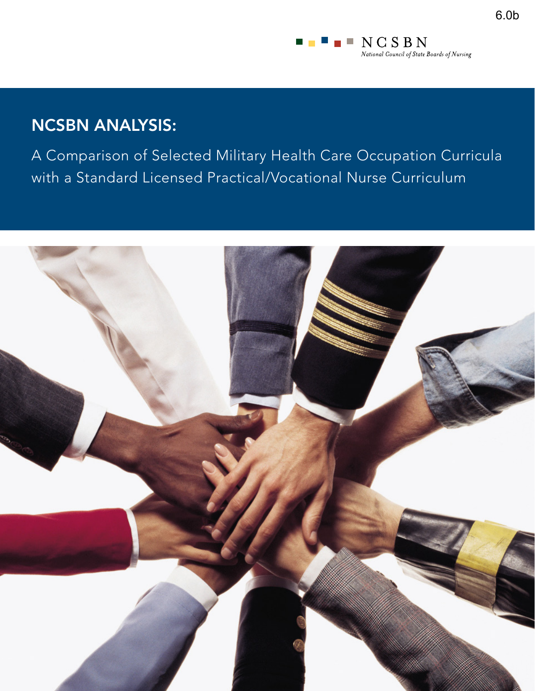

# NCSBN ANALYSIS:

A Comparison of Selected Military Health Care Occupation Curricula with a Standard Licensed Practical/Vocational Nurse Curriculum

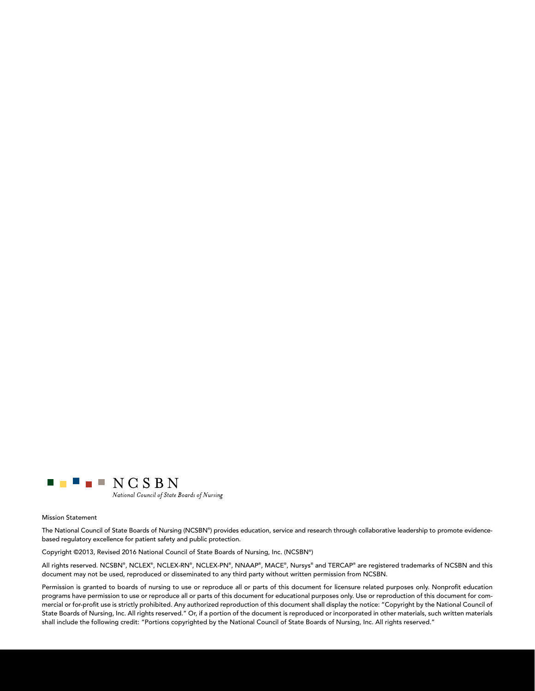

National Council of State Boards of Nursing

#### Mission Statement

The National Council of State Boards of Nursing (NCSBN®) provides education, service and research through collaborative leadership to promote evidencebased regulatory excellence for patient safety and public protection.

Copyright ©2013, Revised 2016 National Council of State Boards of Nursing, Inc. (NCSBN® )

All rights reserved. NCSBN®, NCLEX®, NCLEX-RN®, NCLEX-PN®, NNAAP®, MACE®, Nursys® and TERCAP® are registered trademarks of NCSBN and this document may not be used, reproduced or disseminated to any third party without written permission from NCSBN.

Permission is granted to boards of nursing to use or reproduce all or parts of this document for licensure related purposes only. Nonprofit education programs have permission to use or reproduce all or parts of this document for educational purposes only. Use or reproduction of this document for commercial or for-profit use is strictly prohibited. Any authorized reproduction of this document shall display the notice: "Copyright by the National Council of State Boards of Nursing, Inc. All rights reserved." Or, if a portion of the document is reproduced or incorporated in other materials, such written materials shall include the following credit: "Portions copyrighted by the National Council of State Boards of Nursing, Inc. All rights reserved."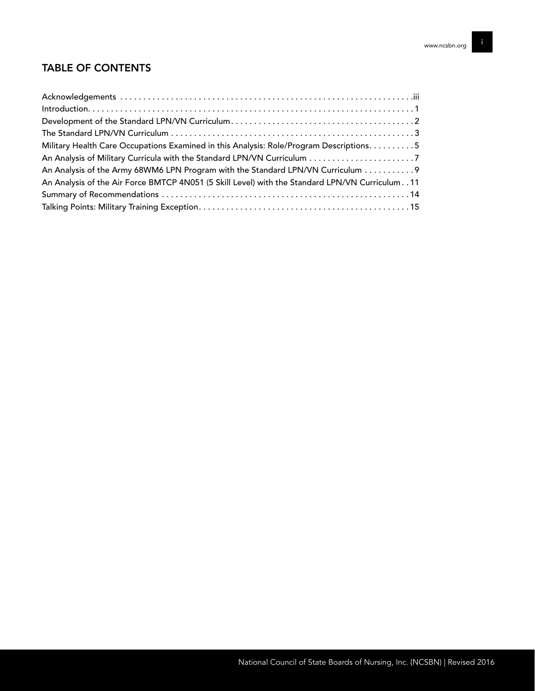### TABLE OF CONTENTS

| Military Health Care Occupations Examined in this Analysis: Role/Program Descriptions. 5        |  |
|-------------------------------------------------------------------------------------------------|--|
|                                                                                                 |  |
| An Analysis of the Army 68WM6 LPN Program with the Standard LPN/VN Curriculum 9                 |  |
| An Analysis of the Air Force BMTCP 4N051 (5 Skill Level) with the Standard LPN/VN Curriculum 11 |  |
|                                                                                                 |  |
|                                                                                                 |  |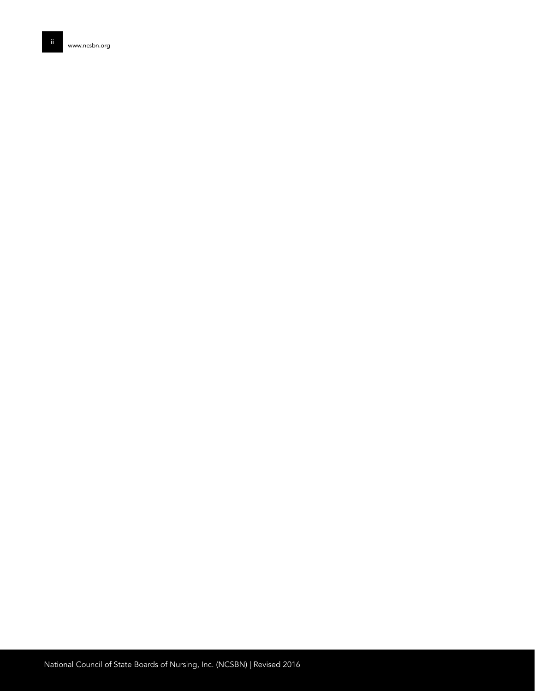ii<br>www.ncsbn.org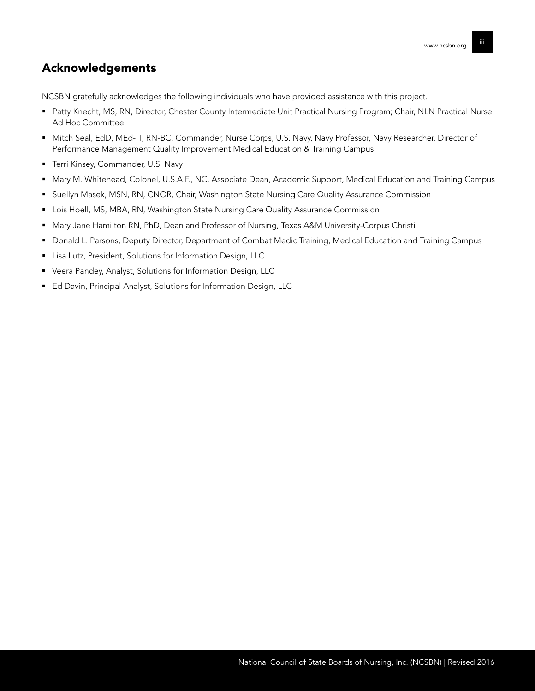### Acknowledgements

NCSBN gratefully acknowledges the following individuals who have provided assistance with this project.

- Patty Knecht, MS, RN, Director, Chester County Intermediate Unit Practical Nursing Program; Chair, NLN Practical Nurse Ad Hoc Committee
- Mitch Seal, EdD, MEd-IT, RN-BC, Commander, Nurse Corps, U.S. Navy, Navy Professor, Navy Researcher, Director of Performance Management Quality Improvement Medical Education & Training Campus
- **Terri Kinsey, Commander, U.S. Navy**
- **Mary M. Whitehead, Colonel, U.S.A.F., NC, Associate Dean, Academic Support, Medical Education and Training Campus**
- **Suellyn Masek, MSN, RN, CNOR, Chair, Washington State Nursing Care Quality Assurance Commission**
- **Lois Hoell, MS, MBA, RN, Washington State Nursing Care Quality Assurance Commission**
- **Mary Jane Hamilton RN, PhD, Dean and Professor of Nursing, Texas A&M University-Corpus Christi**
- Donald L. Parsons, Deputy Director, Department of Combat Medic Training, Medical Education and Training Campus
- **E** Lisa Lutz, President, Solutions for Information Design, LLC
- Veera Pandey, Analyst, Solutions for Information Design, LLC
- Ed Davin, Principal Analyst, Solutions for Information Design, LLC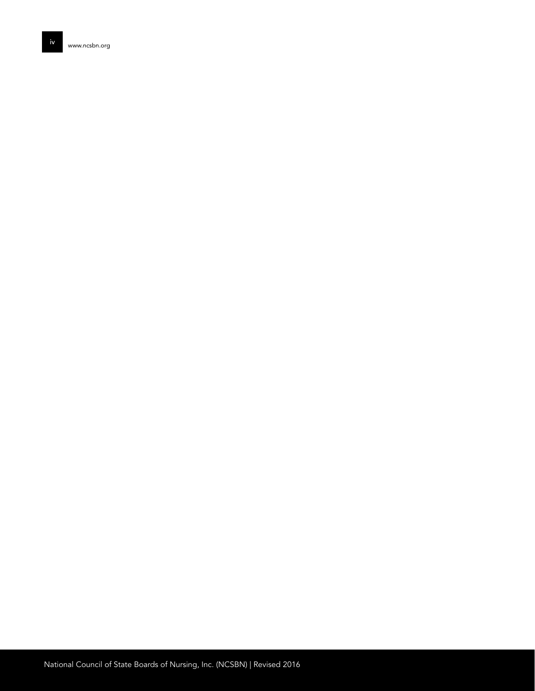iv www.ncsbn.org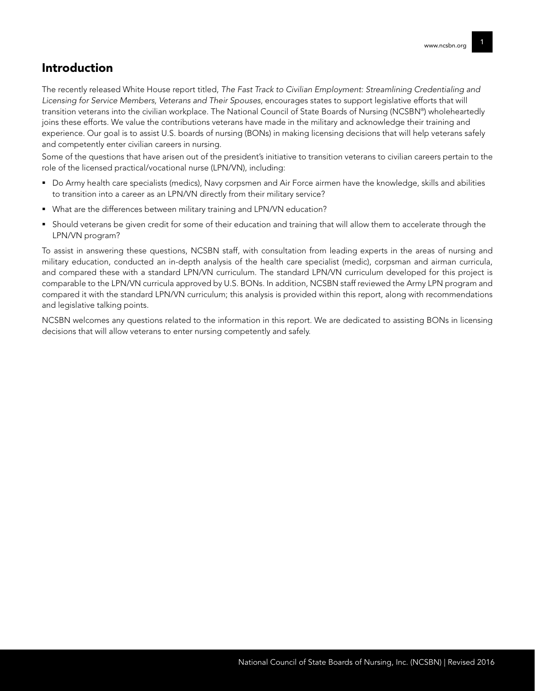### Introduction

The recently released White House report titled, *The Fast Track to Civilian Employment: Streamlining Credentialing and Licensing for Service Members, Veterans and Their Spouses*, encourages states to support legislative efforts that will transition veterans into the civilian workplace. The National Council of State Boards of Nursing (NCSBN®) wholeheartedly joins these efforts. We value the contributions veterans have made in the military and acknowledge their training and experience. Our goal is to assist U.S. boards of nursing (BONs) in making licensing decisions that will help veterans safely and competently enter civilian careers in nursing.

Some of the questions that have arisen out of the president's initiative to transition veterans to civilian careers pertain to the role of the licensed practical/vocational nurse (LPN/VN), including:

- Do Army health care specialists (medics), Navy corpsmen and Air Force airmen have the knowledge, skills and abilities to transition into a career as an LPN/VN directly from their military service?
- What are the differences between military training and LPN/VN education?
- **Should veterans be given credit for some of their education and training that will allow them to accelerate through the** LPN/VN program?

To assist in answering these questions, NCSBN staff, with consultation from leading experts in the areas of nursing and military education, conducted an in-depth analysis of the health care specialist (medic), corpsman and airman curricula, and compared these with a standard LPN/VN curriculum. The standard LPN/VN curriculum developed for this project is comparable to the LPN/VN curricula approved by U.S. BONs. In addition, NCSBN staff reviewed the Army LPN program and compared it with the standard LPN/VN curriculum; this analysis is provided within this report, along with recommendations and legislative talking points.

NCSBN welcomes any questions related to the information in this report. We are dedicated to assisting BONs in licensing decisions that will allow veterans to enter nursing competently and safely.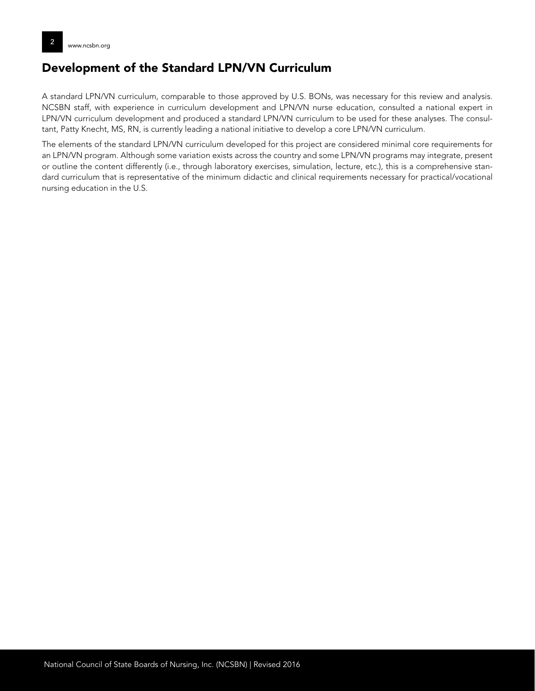# Development of the Standard LPN/VN Curriculum

A standard LPN/VN curriculum, comparable to those approved by U.S. BONs, was necessary for this review and analysis. NCSBN staff, with experience in curriculum development and LPN/VN nurse education, consulted a national expert in LPN/VN curriculum development and produced a standard LPN/VN curriculum to be used for these analyses. The consultant, Patty Knecht, MS, RN, is currently leading a national initiative to develop a core LPN/VN curriculum.

The elements of the standard LPN/VN curriculum developed for this project are considered minimal core requirements for an LPN/VN program. Although some variation exists across the country and some LPN/VN programs may integrate, present or outline the content differently (i.e., through laboratory exercises, simulation, lecture, etc.), this is a comprehensive standard curriculum that is representative of the minimum didactic and clinical requirements necessary for practical/vocational nursing education in the U.S.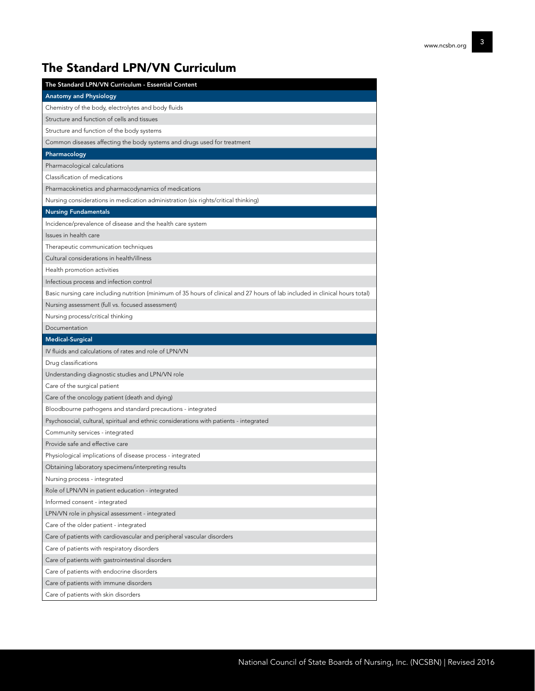3

# The Standard LPN/VN Curriculum

| The Standard LPN/VN Curriculum - Essential Content                                                                            |
|-------------------------------------------------------------------------------------------------------------------------------|
| <b>Anatomy and Physiology</b>                                                                                                 |
| Chemistry of the body, electrolytes and body fluids                                                                           |
| Structure and function of cells and tissues                                                                                   |
| Structure and function of the body systems                                                                                    |
| Common diseases affecting the body systems and drugs used for treatment                                                       |
| Pharmacology                                                                                                                  |
| Pharmacological calculations                                                                                                  |
| Classification of medications                                                                                                 |
| Pharmacokinetics and pharmacodynamics of medications                                                                          |
| Nursing considerations in medication administration (six rights/critical thinking)                                            |
| <b>Nursing Fundamentals</b>                                                                                                   |
| Incidence/prevalence of disease and the health care system                                                                    |
| Issues in health care                                                                                                         |
| Therapeutic communication techniques                                                                                          |
| Cultural considerations in health/illness                                                                                     |
| Health promotion activities                                                                                                   |
| Infectious process and infection control                                                                                      |
| Basic nursing care including nutrition (minimum of 35 hours of clinical and 27 hours of lab included in clinical hours total) |
| Nursing assessment (full vs. focused assessment)                                                                              |
| Nursing process/critical thinking                                                                                             |
| Documentation                                                                                                                 |
| <b>Medical-Surgical</b>                                                                                                       |
|                                                                                                                               |
| IV fluids and calculations of rates and role of LPN/VN                                                                        |
| Drug classifications                                                                                                          |
| Understanding diagnostic studies and LPN/VN role                                                                              |
| Care of the surgical patient                                                                                                  |
| Care of the oncology patient (death and dying)                                                                                |
| Bloodbourne pathogens and standard precautions - integrated                                                                   |
| Psychosocial, cultural, spiritual and ethnic considerations with patients - integrated                                        |
| Community services - integrated                                                                                               |
| Provide safe and effective care                                                                                               |
| Physiological implications of disease process - integrated                                                                    |
| Obtaining laboratory specimens/interpreting results                                                                           |
| Nursing process - integrated                                                                                                  |
| Role of LPN/VN in patient education - integrated                                                                              |
| Informed consent - integrated                                                                                                 |
| LPN/VN role in physical assessment - integrated                                                                               |
| Care of the older patient - integrated                                                                                        |
| Care of patients with cardiovascular and peripheral vascular disorders                                                        |
| Care of patients with respiratory disorders                                                                                   |
| Care of patients with gastrointestinal disorders                                                                              |
| Care of patients with endocrine disorders                                                                                     |
| Care of patients with immune disorders                                                                                        |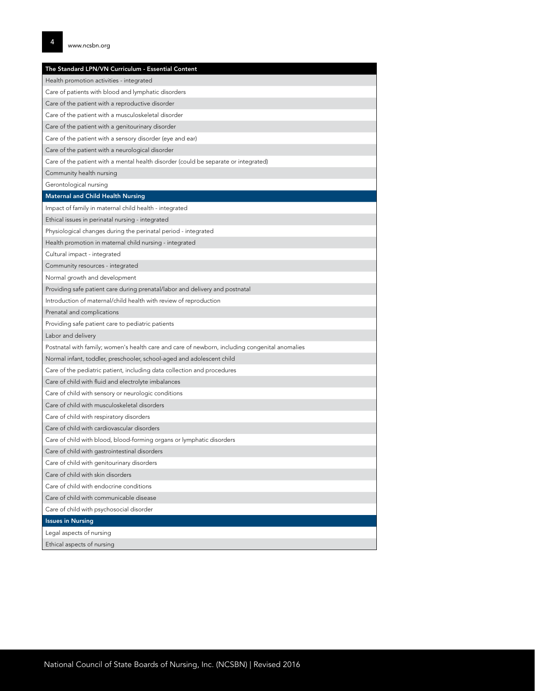| The Standard LPN/VN Curriculum - Essential Content                                             |
|------------------------------------------------------------------------------------------------|
| Health promotion activities - integrated                                                       |
| Care of patients with blood and lymphatic disorders                                            |
| Care of the patient with a reproductive disorder                                               |
| Care of the patient with a musculoskeletal disorder                                            |
| Care of the patient with a genitourinary disorder                                              |
| Care of the patient with a sensory disorder (eye and ear)                                      |
| Care of the patient with a neurological disorder                                               |
| Care of the patient with a mental health disorder (could be separate or integrated)            |
| Community health nursing                                                                       |
| Gerontological nursing                                                                         |
| <b>Maternal and Child Health Nursing</b>                                                       |
| Impact of family in maternal child health - integrated                                         |
| Ethical issues in perinatal nursing - integrated                                               |
| Physiological changes during the perinatal period - integrated                                 |
| Health promotion in maternal child nursing - integrated                                        |
| Cultural impact - integrated                                                                   |
| Community resources - integrated                                                               |
| Normal growth and development                                                                  |
| Providing safe patient care during prenatal/labor and delivery and postnatal                   |
| Introduction of maternal/child health with review of reproduction                              |
| Prenatal and complications                                                                     |
| Providing safe patient care to pediatric patients                                              |
| Labor and delivery                                                                             |
| Postnatal with family; women's health care and care of newborn, including congenital anomalies |
| Normal infant, toddler, preschooler, school-aged and adolescent child                          |
| Care of the pediatric patient, including data collection and procedures                        |
| Care of child with fluid and electrolyte imbalances                                            |
| Care of child with sensory or neurologic conditions                                            |
| Care of child with musculoskeletal disorders                                                   |
| Care of child with respiratory disorders                                                       |
| Care of child with cardiovascular disorders                                                    |
| Care of child with blood, blood-forming organs or lymphatic disorders                          |
| Care of child with gastrointestinal disorders                                                  |
| Care of child with genitourinary disorders                                                     |
| Care of child with skin disorders                                                              |
| Care of child with endocrine conditions                                                        |
| Care of child with communicable disease                                                        |
| Care of child with psychosocial disorder                                                       |
| <b>Issues in Nursing</b>                                                                       |
| Legal aspects of nursing                                                                       |
| Ethical aspects of nursing                                                                     |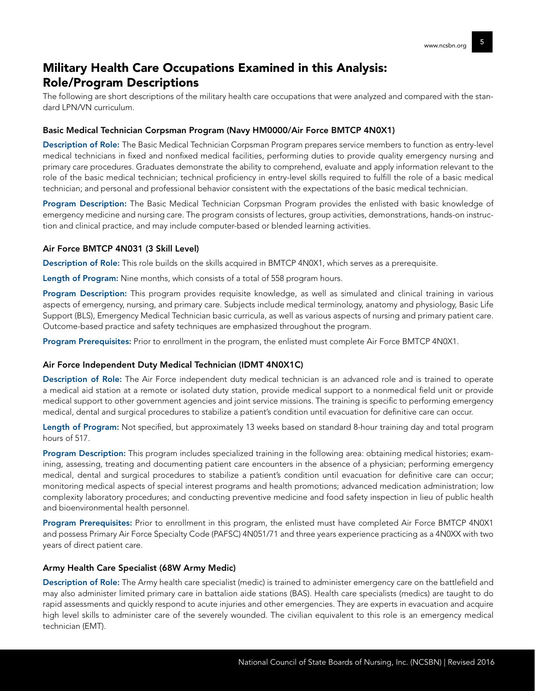# Military Health Care Occupations Examined in this Analysis: Role/Program Descriptions

The following are short descriptions of the military health care occupations that were analyzed and compared with the standard LPN/VN curriculum.

#### Basic Medical Technician Corpsman Program (Navy HM0000/Air Force BMTCP 4N0X1)

Description of Role: The Basic Medical Technician Corpsman Program prepares service members to function as entry-level medical technicians in fixed and nonfixed medical facilities, performing duties to provide quality emergency nursing and primary care procedures. Graduates demonstrate the ability to comprehend, evaluate and apply information relevant to the role of the basic medical technician; technical proficiency in entry-level skills required to fulfill the role of a basic medical technician; and personal and professional behavior consistent with the expectations of the basic medical technician.

Program Description: The Basic Medical Technician Corpsman Program provides the enlisted with basic knowledge of emergency medicine and nursing care. The program consists of lectures, group activities, demonstrations, hands-on instruction and clinical practice, and may include computer-based or blended learning activities.

#### Air Force BMTCP 4N031 (3 Skill Level)

Description of Role: This role builds on the skills acquired in BMTCP 4N0X1, which serves as a prerequisite.

Length of Program: Nine months, which consists of a total of 558 program hours.

Program Description: This program provides requisite knowledge, as well as simulated and clinical training in various aspects of emergency, nursing, and primary care. Subjects include medical terminology, anatomy and physiology, Basic Life Support (BLS), Emergency Medical Technician basic curricula, as well as various aspects of nursing and primary patient care. Outcome-based practice and safety techniques are emphasized throughout the program.

Program Prerequisites: Prior to enrollment in the program, the enlisted must complete Air Force BMTCP 4N0X1.

#### Air Force Independent Duty Medical Technician (IDMT 4N0X1C)

Description of Role: The Air Force independent duty medical technician is an advanced role and is trained to operate a medical aid station at a remote or isolated duty station, provide medical support to a nonmedical field unit or provide medical support to other government agencies and joint service missions. The training is specific to performing emergency medical, dental and surgical procedures to stabilize a patient's condition until evacuation for definitive care can occur.

Length of Program: Not specified, but approximately 13 weeks based on standard 8-hour training day and total program hours of 517.

Program Description: This program includes specialized training in the following area: obtaining medical histories; examining, assessing, treating and documenting patient care encounters in the absence of a physician; performing emergency medical, dental and surgical procedures to stabilize a patient's condition until evacuation for definitive care can occur; monitoring medical aspects of special interest programs and health promotions; advanced medication administration; low complexity laboratory procedures; and conducting preventive medicine and food safety inspection in lieu of public health and bioenvironmental health personnel.

Program Prerequisites: Prior to enrollment in this program, the enlisted must have completed Air Force BMTCP 4N0X1 and possess Primary Air Force Specialty Code (PAFSC) 4N051/71 and three years experience practicing as a 4N0XX with two years of direct patient care.

#### Army Health Care Specialist (68W Army Medic)

Description of Role: The Army health care specialist (medic) is trained to administer emergency care on the battlefield and may also administer limited primary care in battalion aide stations (BAS). Health care specialists (medics) are taught to do rapid assessments and quickly respond to acute injuries and other emergencies. They are experts in evacuation and acquire high level skills to administer care of the severely wounded. The civilian equivalent to this role is an emergency medical technician (EMT).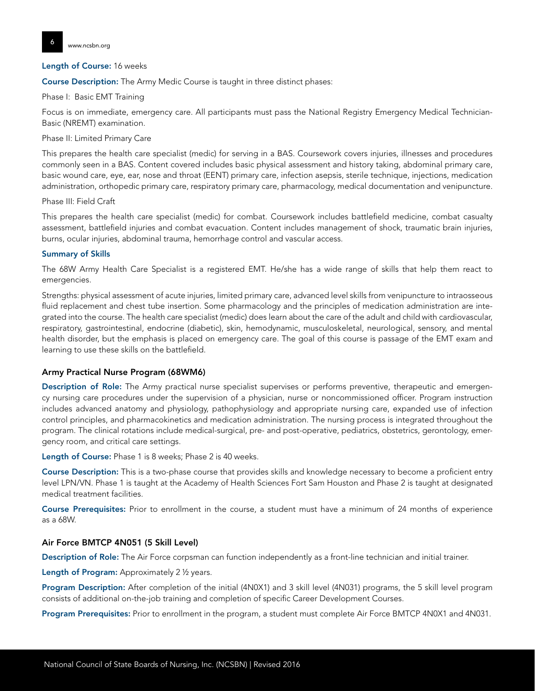#### Length of Course: 16 weeks

Course Description: The Army Medic Course is taught in three distinct phases:

#### Phase I: Basic EMT Training

Focus is on immediate, emergency care. All participants must pass the National Registry Emergency Medical Technician-Basic (NREMT) examination.

Phase II: Limited Primary Care

This prepares the health care specialist (medic) for serving in a BAS. Coursework covers injuries, illnesses and procedures commonly seen in a BAS. Content covered includes basic physical assessment and history taking, abdominal primary care, basic wound care, eye, ear, nose and throat (EENT) primary care, infection asepsis, sterile technique, injections, medication administration, orthopedic primary care, respiratory primary care, pharmacology, medical documentation and venipuncture.

Phase III: Field Craft

This prepares the health care specialist (medic) for combat. Coursework includes battlefield medicine, combat casualty assessment, battlefield injuries and combat evacuation. Content includes management of shock, traumatic brain injuries, burns, ocular injuries, abdominal trauma, hemorrhage control and vascular access.

#### Summary of Skills

The 68W Army Health Care Specialist is a registered EMT. He/she has a wide range of skills that help them react to emergencies.

Strengths: physical assessment of acute injuries, limited primary care, advanced level skills from venipuncture to intraosseous fluid replacement and chest tube insertion. Some pharmacology and the principles of medication administration are integrated into the course. The health care specialist (medic) does learn about the care of the adult and child with cardiovascular, respiratory, gastrointestinal, endocrine (diabetic), skin, hemodynamic, musculoskeletal, neurological, sensory, and mental health disorder, but the emphasis is placed on emergency care. The goal of this course is passage of the EMT exam and learning to use these skills on the battlefield.

#### Army Practical Nurse Program (68WM6)

Description of Role: The Army practical nurse specialist supervises or performs preventive, therapeutic and emergency nursing care procedures under the supervision of a physician, nurse or noncommissioned officer. Program instruction includes advanced anatomy and physiology, pathophysiology and appropriate nursing care, expanded use of infection control principles, and pharmacokinetics and medication administration. The nursing process is integrated throughout the program. The clinical rotations include medical-surgical, pre- and post-operative, pediatrics, obstetrics, gerontology, emergency room, and critical care settings.

Length of Course: Phase 1 is 8 weeks; Phase 2 is 40 weeks.

Course Description: This is a two-phase course that provides skills and knowledge necessary to become a proficient entry level LPN/VN. Phase 1 is taught at the Academy of Health Sciences Fort Sam Houston and Phase 2 is taught at designated medical treatment facilities.

Course Prerequisites: Prior to enrollment in the course, a student must have a minimum of 24 months of experience as a 68W.

#### Air Force BMTCP 4N051 (5 Skill Level)

Description of Role: The Air Force corpsman can function independently as a front-line technician and initial trainer.

Length of Program: Approximately 2 1/2 years.

Program Description: After completion of the initial (4N0X1) and 3 skill level (4N031) programs, the 5 skill level program consists of additional on-the-job training and completion of specific Career Development Courses.

Program Prerequisites: Prior to enrollment in the program, a student must complete Air Force BMTCP 4N0X1 and 4N031.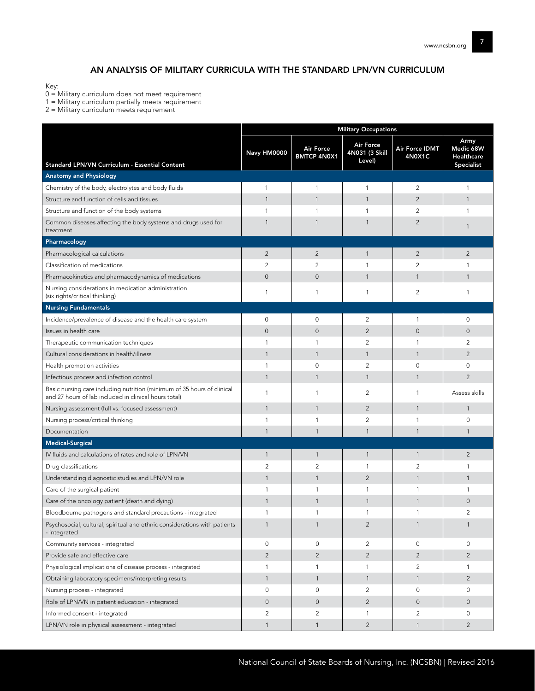#### AN ANALYSIS OF MILITARY CURRICULA WITH THE STANDARD LPN/VN CURRICULUM

Key:

0 = Military curriculum does not meet requirement

1 = Military curriculum partially meets requirement

|                                                                                                                                  | <b>Military Occupations</b> |                                        |                                              |                          |                                                      |
|----------------------------------------------------------------------------------------------------------------------------------|-----------------------------|----------------------------------------|----------------------------------------------|--------------------------|------------------------------------------------------|
| Standard LPN/VN Curriculum - Essential Content                                                                                   | Navy HM0000                 | <b>Air Force</b><br><b>BMTCP 4N0X1</b> | <b>Air Force</b><br>4N031 (3 Skill<br>Level) | Air Force IDMT<br>4N0X1C | Army<br>Medic 68W<br>Healthcare<br><b>Specialist</b> |
| <b>Anatomy and Physiology</b>                                                                                                    |                             |                                        |                                              |                          |                                                      |
| Chemistry of the body, electrolytes and body fluids                                                                              | $\mathbf{1}$                | 1                                      | 1                                            | $\overline{c}$           | $\mathbf{1}$                                         |
| Structure and function of cells and tissues                                                                                      | $\mathbf{1}$                | $\mathbf{1}$                           | $\mathbf{1}$                                 | $\overline{2}$           | $\mathbf{1}$                                         |
| Structure and function of the body systems                                                                                       | $\mathbf{1}$                | $\mathbf{1}$                           | 1                                            | 2                        | $\mathbf{1}$                                         |
| Common diseases affecting the body systems and drugs used for<br>treatment                                                       | $\mathbf{1}$                | $\mathbf{1}$                           | $\mathbf{1}$                                 | 2                        | 1                                                    |
| Pharmacology                                                                                                                     |                             |                                        |                                              |                          |                                                      |
| Pharmacological calculations                                                                                                     | $\overline{2}$              | 2                                      | $\mathbf{1}$                                 | 2                        | $\overline{2}$                                       |
| Classification of medications                                                                                                    | $\overline{c}$              | $\overline{2}$                         | 1                                            | $\overline{2}$           | 1                                                    |
| Pharmacokinetics and pharmacodynamics of medications                                                                             | $\overline{0}$              | $\overline{0}$                         | $\mathbf{1}$                                 | $\mathbf{1}$             | $\mathbf{1}$                                         |
| Nursing considerations in medication administration<br>(six rights/critical thinking)                                            | 1                           | 1                                      | $\mathbf{1}$                                 | $\overline{2}$           | 1                                                    |
| <b>Nursing Fundamentals</b>                                                                                                      |                             |                                        |                                              |                          |                                                      |
| Incidence/prevalence of disease and the health care system                                                                       | $\mathbf 0$                 | $\mathbf 0$                            | $\overline{2}$                               | 1                        | $\mathbf 0$                                          |
| Issues in health care                                                                                                            | $\mathbf{0}$                | $\overline{0}$                         | $\overline{2}$                               | $\overline{0}$           | $\overline{0}$                                       |
| Therapeutic communication techniques                                                                                             | 1                           | 1                                      | $\overline{2}$                               | 1                        | $\overline{c}$                                       |
| Cultural considerations in health/illness                                                                                        | $\mathbf{1}$                | $\mathbf{1}$                           | $\mathbf{1}$                                 | $\mathbf{1}$             | $\overline{2}$                                       |
| Health promotion activities                                                                                                      | $\mathbf{1}$                | $\mathbf 0$                            | $\overline{2}$                               | $\mathbf{0}$             | 0                                                    |
| Infectious process and infection control                                                                                         | $\mathbf{1}$                | $\mathbf{1}$                           | $\mathbf{1}$                                 | $\mathbf{1}$             | $\overline{2}$                                       |
| Basic nursing care including nutrition (minimum of 35 hours of clinical<br>and 27 hours of lab included in clinical hours total) | $\mathbf{1}$                | 1                                      | 2                                            | $\mathbf{1}$             | Assess skills                                        |
| Nursing assessment (full vs. focused assessment)                                                                                 | $\mathbf{1}$                | $\mathbf{1}$                           | 2                                            | $\mathbf{1}$             | $\mathbf{1}$                                         |
| Nursing process/critical thinking                                                                                                | $\mathbf{1}$                | $\mathbf{1}$                           | $\overline{c}$                               | $\mathbf{1}$             | 0                                                    |
| Documentation                                                                                                                    | $\mathbf{1}$                | $\mathbf{1}$                           | $\mathbf{1}$                                 | $\mathbf{1}$             | $\mathbf{1}$                                         |
| <b>Medical-Surgical</b>                                                                                                          |                             |                                        |                                              |                          |                                                      |
| IV fluids and calculations of rates and role of LPN/VN                                                                           | $\mathbf{1}$                | $\mathbf{1}$                           | $\mathbf{1}$                                 | $\mathbf{1}$             | $\overline{2}$                                       |
| Drug classifications                                                                                                             | $\overline{c}$              | $\overline{c}$                         | $\mathbf{1}$                                 | $\overline{c}$           | 1                                                    |
| Understanding diagnostic studies and LPN/VN role                                                                                 | $\mathbf{1}$                | $\mathbf{1}$                           | $\overline{2}$                               | $\mathbf{1}$             | 1                                                    |
| Care of the surgical patient                                                                                                     | $\mathbf{1}$                | $\mathbf{1}$                           | $\mathbf{1}$                                 | 1                        | 1                                                    |
| Care of the oncology patient (death and dying)                                                                                   | $\mathbf{1}$                | $\mathbf{1}$                           | $\mathbf{1}$                                 | 1                        | $\overline{0}$                                       |
| Bloodbourne pathogens and standard precautions - integrated                                                                      | 1                           | 1                                      |                                              |                          | $\mathcal{P}$                                        |
| Psychosocial, cultural, spiritual and ethnic considerations with patients<br>- integrated                                        | $\mathbf{1}$                | $\mathbf{1}$                           | $\overline{c}$                               | $\mathbf{1}$             | $\mathbf{1}$                                         |
| Community services - integrated                                                                                                  | $\mathbf 0$                 | $\mathbf 0$                            | $\overline{c}$                               | $\mathbf 0$              | $\mathbf 0$                                          |
| Provide safe and effective care                                                                                                  | $\overline{2}$              | $\overline{2}$                         | $\overline{2}$                               | 2                        | 2                                                    |
| Physiological implications of disease process - integrated                                                                       | 1                           | $\mathbf{1}$                           | 1                                            | $\overline{2}$           | 1                                                    |
| Obtaining laboratory specimens/interpreting results                                                                              | $\mathbf{1}$                | $\mathbf{1}$                           | $\mathbf{1}$                                 | $\overline{1}$           | $\overline{2}$                                       |
| Nursing process - integrated                                                                                                     | $\mathbf 0$                 | $\mathbf 0$                            | $\overline{c}$                               | $\mathbf 0$              | 0                                                    |
| Role of LPN/VN in patient education - integrated                                                                                 | $\mathbf{0}$                | $\mathsf{O}$                           | 2                                            | $\mathbf 0$              | $\mathsf{O}\xspace$                                  |
| Informed consent - integrated                                                                                                    | $\overline{c}$              | 2                                      | $\mathbf{1}$                                 | $\overline{2}$           | $\mathbf 0$                                          |
| LPN/VN role in physical assessment - integrated                                                                                  | $\mathbf{1}$                | $\mathbf{1}$                           | $\overline{c}$                               | $\mathbf{1}$             | $\overline{c}$                                       |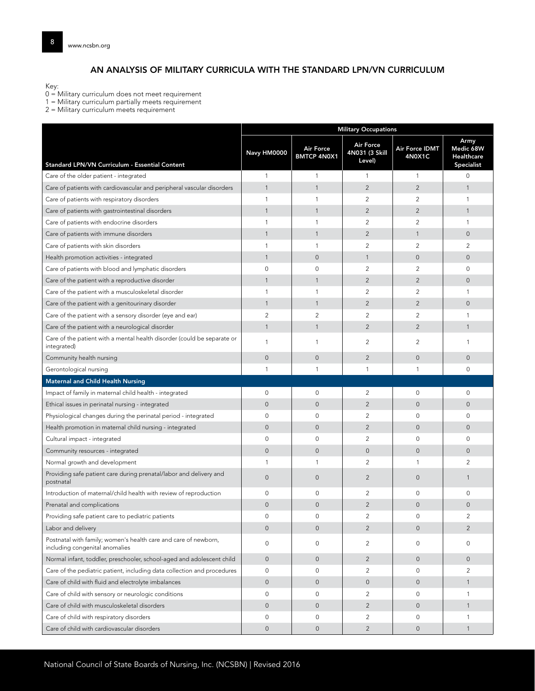#### AN ANALYSIS OF MILITARY CURRICULA WITH THE STANDARD LPN/VN CURRICULUM

Key:

- 0 = Military curriculum does not meet requirement
- 1 = Military curriculum partially meets requirement

|                                                                                                   | <b>Military Occupations</b> |                                 |                                              |                                 |                                                      |
|---------------------------------------------------------------------------------------------------|-----------------------------|---------------------------------|----------------------------------------------|---------------------------------|------------------------------------------------------|
| Standard LPN/VN Curriculum - Essential Content                                                    | Navy HM0000                 | Air Force<br><b>BMTCP 4N0X1</b> | <b>Air Force</b><br>4N031 (3 Skill<br>Level) | <b>Air Force IDMT</b><br>4N0X1C | Army<br>Medic 68W<br>Healthcare<br><b>Specialist</b> |
| Care of the older patient - integrated                                                            | $\mathbf{1}$                | $\mathbf{1}$                    | $\mathbf{1}$                                 | $\mathbf{1}$                    | $\mathbf 0$                                          |
| Care of patients with cardiovascular and peripheral vascular disorders                            | $\mathbf{1}$                | $\mathbf{1}$                    | $\overline{2}$                               | 2                               | $\mathbf{1}$                                         |
| Care of patients with respiratory disorders                                                       | $\mathbf{1}$                | $\mathbf{1}$                    | 2                                            | $\overline{2}$                  | $\mathbf{1}$                                         |
| Care of patients with gastrointestinal disorders                                                  | $\mathbf{1}$                | $\mathbf{1}$                    | $\overline{2}$                               | $\overline{2}$                  | $\mathbf{1}$                                         |
| Care of patients with endocrine disorders                                                         | $\mathbf{1}$                | $\mathbf{1}$                    | $\overline{c}$                               | $\overline{2}$                  | 1                                                    |
| Care of patients with immune disorders                                                            | $\mathbf{1}$                | $\mathbf{1}$                    | $\overline{2}$                               | $\mathbf{1}$                    | $\overline{0}$                                       |
| Care of patients with skin disorders                                                              | $\mathbf{1}$                | $\mathbf{1}$                    | $\overline{2}$                               | $\overline{2}$                  | $\overline{2}$                                       |
| Health promotion activities - integrated                                                          | $\mathbf{1}$                | $\overline{0}$                  | $\mathbf{1}$                                 | $\overline{0}$                  | $\overline{0}$                                       |
| Care of patients with blood and lymphatic disorders                                               | $\mathbf 0$                 | $\mathbf{0}$                    | $\overline{2}$                               | 2                               | $\mathbf{0}$                                         |
| Care of the patient with a reproductive disorder                                                  | $\mathbf{1}$                | $\mathbf{1}$                    | $\overline{2}$                               | 2                               | $\overline{0}$                                       |
| Care of the patient with a musculoskeletal disorder                                               | 1                           | 1                               | $\overline{c}$                               | $\overline{c}$                  | 1                                                    |
| Care of the patient with a genitourinary disorder                                                 | $\mathbf{1}$                | $\mathbf{1}$                    | $\overline{2}$                               | $\overline{2}$                  | $\mathbf 0$                                          |
| Care of the patient with a sensory disorder (eye and ear)                                         | $\overline{c}$              | $\overline{2}$                  | $\overline{c}$                               | $\overline{c}$                  | 1                                                    |
| Care of the patient with a neurological disorder                                                  | $\mathbf{1}$                | $\mathbf{1}$                    | $\overline{2}$                               | $\overline{2}$                  | $\mathbf{1}$                                         |
| Care of the patient with a mental health disorder (could be separate or<br>integrated)            | $\mathbf{1}$                | 1                               | 2                                            | 2                               | 1                                                    |
| Community health nursing                                                                          | $\mathbf 0$                 | $\mathbf{0}$                    | 2                                            | $\mathbf 0$                     | $\overline{0}$                                       |
| Gerontological nursing                                                                            | $\mathbf{1}$                | 1                               | $\mathbf{1}$                                 | $\mathbf{1}$                    | 0                                                    |
| <b>Maternal and Child Health Nursing</b>                                                          |                             |                                 |                                              |                                 |                                                      |
| Impact of family in maternal child health - integrated                                            | $\mathsf{O}\xspace$         | $\mathbf{0}$                    | $\overline{2}$                               | $\mathbf{0}$                    | $\mathbf 0$                                          |
| Ethical issues in perinatal nursing - integrated                                                  | $\overline{0}$              | $\mathbf{0}$                    | $\overline{2}$                               | $\mathbf 0$                     | $\mathbf 0$                                          |
| Physiological changes during the perinatal period - integrated                                    | $\mathbf{0}$                | $\mathbf{0}$                    | $\overline{2}$                               | $\mathbf{0}$                    | $\mathbf 0$                                          |
| Health promotion in maternal child nursing - integrated                                           | $\mathbf{0}$                | $\mathbf{0}$                    | $\overline{2}$                               | $\mathbf{0}$                    | $\overline{0}$                                       |
| Cultural impact - integrated                                                                      | $\mathbf{0}$                | $\mathbf{0}$                    | $\overline{2}$                               | $\mathbf{0}$                    | $\mathbf 0$                                          |
| Community resources - integrated                                                                  | $\mathbf 0$                 | $\overline{0}$                  | $\mathbf{0}$                                 | $\mathbf 0$                     | $\mathbf 0$                                          |
| Normal growth and development                                                                     | $\mathbf{1}$                | $\mathbf{1}$                    | $\overline{2}$                               | $\mathbf{1}$                    | $\overline{2}$                                       |
| Providing safe patient care during prenatal/labor and delivery and<br>postnatal                   | $\mathbf 0$                 | $\mathbf{0}$                    | 2                                            | $\mathbf 0$                     | 1                                                    |
| Introduction of maternal/child health with review of reproduction                                 | $\mathbf 0$                 | $\mathbf{0}$                    | 2                                            | $\mathbf{0}$                    | $\mathbf 0$                                          |
| Prenatal and complications                                                                        | $\overline{0}$              | $\overline{0}$                  | $\overline{2}$                               | $\mathbf{0}$                    | $\overline{0}$                                       |
| Providing safe patient care to pediatric patients                                                 | 0                           | $\mathbf 0$                     | 2                                            |                                 | 2                                                    |
| Labor and delivery                                                                                | $\mathbf 0$                 | $\mathbf 0$                     | $\overline{2}$                               | $\mathbf 0$                     | $\overline{2}$                                       |
| Postnatal with family; women's health care and care of newborn,<br>including congenital anomalies | $\mathbf 0$                 | $\mathbf 0$                     | 2                                            | $\mathbf 0$                     | 0                                                    |
| Normal infant, toddler, preschooler, school-aged and adolescent child                             | $\mathbf{O}$                | $\overline{0}$                  | $\overline{2}$                               | $\mathbf 0$                     | 0                                                    |
| Care of the pediatric patient, including data collection and procedures                           | $\mathbf 0$                 | $\mathbf 0$                     | $\overline{2}$                               | $\mathbf 0$                     | $\overline{c}$                                       |
| Care of child with fluid and electrolyte imbalances                                               | $\mathbf{0}$                | $\mathbf 0$                     | $\mathsf{O}\xspace$                          | $\mathbf 0$                     | $\mathbf{1}$                                         |
| Care of child with sensory or neurologic conditions                                               | 0                           | $\mathbf 0$                     | $\overline{c}$                               | 0                               | $\mathbf{1}$                                         |
| Care of child with musculoskeletal disorders                                                      | $\mathbf{O}$                | $\mathbf 0$                     | $\overline{2}$                               | $\mathbf{O}$                    | $\mathbf{1}$                                         |
| Care of child with respiratory disorders                                                          | $\mathbf 0$                 | $\mathbf 0$                     | 2                                            | $\mathbf 0$                     | $\mathbf{1}$                                         |
| Care of child with cardiovascular disorders                                                       | $\mathsf{O}\xspace$         | $\mathsf{O}\xspace$             | $\overline{c}$                               | $\mathsf{O}\xspace$             | $\mathbf{1}$                                         |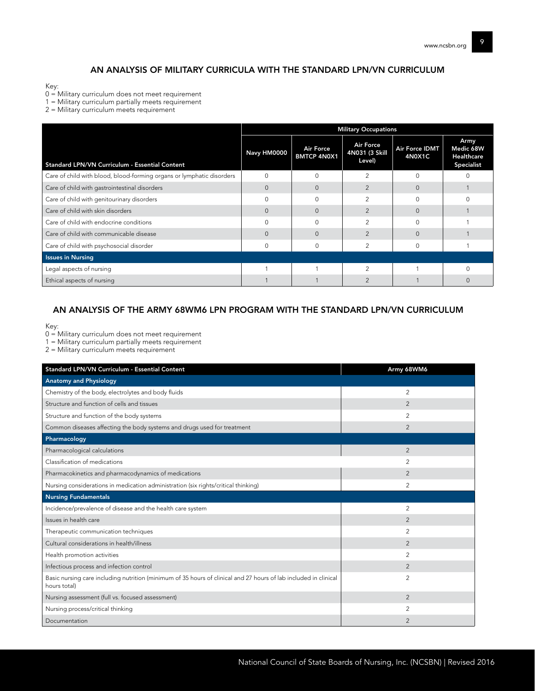#### AN ANALYSIS OF MILITARY CURRICULA WITH THE STANDARD LPN/VN CURRICULUM

Key:

0 = Military curriculum does not meet requirement

1 = Military curriculum partially meets requirement

2 = Military curriculum meets requirement

|                                                                       | <b>Military Occupations</b> |                                        |                                              |                                 |                                               |
|-----------------------------------------------------------------------|-----------------------------|----------------------------------------|----------------------------------------------|---------------------------------|-----------------------------------------------|
| Standard LPN/VN Curriculum - Essential Content                        | Navy HM0000                 | <b>Air Force</b><br><b>BMTCP 4N0X1</b> | <b>Air Force</b><br>4N031 (3 Skill<br>Level) | <b>Air Force IDMT</b><br>4N0X1C | Army<br>Medic 68W<br>Healthcare<br>Specialist |
| Care of child with blood, blood-forming organs or lymphatic disorders |                             |                                        | 2                                            |                                 |                                               |
| Care of child with gastrointestinal disorders                         |                             |                                        |                                              | $\Omega$                        |                                               |
| Care of child with genitourinary disorders                            |                             | $\sqrt{ }$                             | 2                                            |                                 |                                               |
| Care of child with skin disorders                                     | $\Omega$                    |                                        |                                              | $\Omega$                        |                                               |
| Care of child with endocrine conditions                               |                             |                                        |                                              |                                 |                                               |
| Care of child with communicable disease                               | $\Omega$                    | $\Omega$                               |                                              | $\Omega$                        |                                               |
| Care of child with psychosocial disorder                              | $\Omega$                    | $\Omega$                               | 2                                            | $\Omega$                        |                                               |
| <b>Issues in Nursing</b>                                              |                             |                                        |                                              |                                 |                                               |
| Legal aspects of nursing                                              |                             |                                        | $\mathfrak{p}$                               |                                 |                                               |
| Ethical aspects of nursing                                            |                             |                                        |                                              |                                 |                                               |

#### AN ANALYSIS OF THE ARMY 68WM6 LPN PROGRAM WITH THE STANDARD LPN/VN CURRICULUM

Key:

0 = Military curriculum does not meet requirement

1 = Military curriculum partially meets requirement

| Standard LPN/VN Curriculum - Essential Content                                                                                   | Army 68WM6     |
|----------------------------------------------------------------------------------------------------------------------------------|----------------|
| <b>Anatomy and Physiology</b>                                                                                                    |                |
| Chemistry of the body, electrolytes and body fluids                                                                              | $\overline{2}$ |
| Structure and function of cells and tissues                                                                                      | $\mathcal{P}$  |
| Structure and function of the body systems                                                                                       | $\mathfrak{p}$ |
| Common diseases affecting the body systems and drugs used for treatment                                                          | $\overline{2}$ |
| Pharmacology                                                                                                                     |                |
| Pharmacological calculations                                                                                                     | $\overline{2}$ |
| Classification of medications                                                                                                    | $\overline{2}$ |
| Pharmacokinetics and pharmacodynamics of medications                                                                             | $\mathcal{P}$  |
| Nursing considerations in medication administration (six rights/critical thinking)                                               | $\overline{2}$ |
| <b>Nursing Fundamentals</b>                                                                                                      |                |
| Incidence/prevalence of disease and the health care system                                                                       | $\overline{2}$ |
| Issues in health care                                                                                                            | $\mathfrak{p}$ |
| Therapeutic communication techniques                                                                                             | $\mathfrak{p}$ |
| Cultural considerations in health/illness                                                                                        | $\mathfrak{p}$ |
| Health promotion activities                                                                                                      | $\mathfrak{p}$ |
| Infectious process and infection control                                                                                         | $\overline{2}$ |
| Basic nursing care including nutrition (minimum of 35 hours of clinical and 27 hours of lab included in clinical<br>hours total) | $\overline{2}$ |
| Nursing assessment (full vs. focused assessment)                                                                                 | $\mathcal{P}$  |
| Nursing process/critical thinking                                                                                                | $\overline{2}$ |
| Documentation                                                                                                                    | $\mathfrak{p}$ |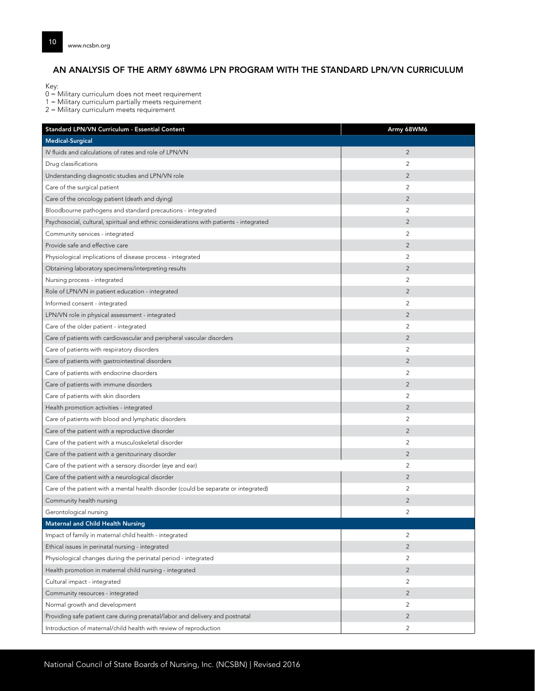#### AN ANALYSIS OF THE ARMY 68WM6 LPN PROGRAM WITH THE STANDARD LPN/VN CURRICULUM

Key:

- 0 = Military curriculum does not meet requirement
- 1 = Military curriculum partially meets requirement
- 2 = Military curriculum meets requirement

| Standard LPN/VN Curriculum - Essential Content                                         | Army 68WM6     |
|----------------------------------------------------------------------------------------|----------------|
| <b>Medical-Surgical</b>                                                                |                |
| IV fluids and calculations of rates and role of LPN/VN                                 | $\overline{2}$ |
| Drug classifications                                                                   | $\overline{c}$ |
| Understanding diagnostic studies and LPN/VN role                                       | $\overline{2}$ |
| Care of the surgical patient                                                           | 2              |
| Care of the oncology patient (death and dying)                                         | $\overline{2}$ |
| Bloodbourne pathogens and standard precautions - integrated                            | 2              |
| Psychosocial, cultural, spiritual and ethnic considerations with patients - integrated | $\overline{2}$ |
| Community services - integrated                                                        | $\overline{2}$ |
| Provide safe and effective care                                                        | $\overline{2}$ |
| Physiological implications of disease process - integrated                             | 2              |
| Obtaining laboratory specimens/interpreting results                                    | $\overline{2}$ |
| Nursing process - integrated                                                           | $\overline{2}$ |
| Role of LPN/VN in patient education - integrated                                       | $\overline{2}$ |
| Informed consent - integrated                                                          | $\overline{2}$ |
| LPN/VN role in physical assessment - integrated                                        | $\overline{2}$ |
| Care of the older patient - integrated                                                 | $\overline{2}$ |
| Care of patients with cardiovascular and peripheral vascular disorders                 | $\overline{2}$ |
| Care of patients with respiratory disorders                                            | $\overline{2}$ |
| Care of patients with gastrointestinal disorders                                       | 2              |
| Care of patients with endocrine disorders                                              | 2              |
| Care of patients with immune disorders                                                 | $\overline{2}$ |
| Care of patients with skin disorders                                                   | $\overline{2}$ |
| Health promotion activities - integrated                                               | $\overline{2}$ |
| Care of patients with blood and lymphatic disorders                                    | $\overline{c}$ |
| Care of the patient with a reproductive disorder                                       | $\overline{2}$ |
| Care of the patient with a musculoskeletal disorder                                    | $\overline{2}$ |
| Care of the patient with a genitourinary disorder                                      | $\overline{2}$ |
| Care of the patient with a sensory disorder (eye and ear)                              | $\overline{2}$ |
| Care of the patient with a neurological disorder                                       | $\overline{2}$ |
| Care of the patient with a mental health disorder (could be separate or integrated)    | $\overline{2}$ |
| Community health nursing                                                               | 2              |
| Gerontological nursing                                                                 | $\overline{c}$ |
| <b>Maternal and Child Health Nursing</b>                                               |                |
| Impact of family in maternal child health - integrated                                 | $\overline{c}$ |
| Ethical issues in perinatal nursing - integrated                                       | $\overline{2}$ |
| Physiological changes during the perinatal period - integrated                         | $\overline{c}$ |
| Health promotion in maternal child nursing - integrated                                | $\overline{2}$ |
| Cultural impact - integrated                                                           | 2              |
| Community resources - integrated                                                       | $\overline{2}$ |
| Normal growth and development                                                          | $\overline{2}$ |
| Providing safe patient care during prenatal/labor and delivery and postnatal           | $\overline{2}$ |
| Introduction of maternal/child health with review of reproduction                      | $\overline{2}$ |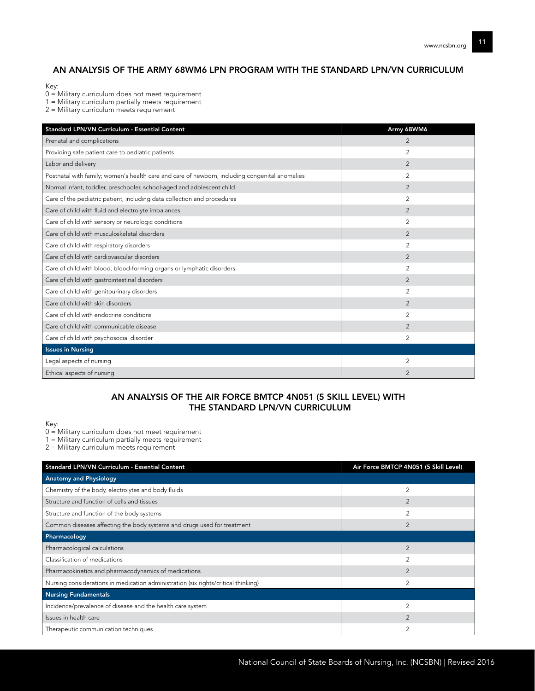#### AN ANALYSIS OF THE ARMY 68WM6 LPN PROGRAM WITH THE STANDARD LPN/VN CURRICULUM

Key:

- 0 = Military curriculum does not meet requirement
- 1 = Military curriculum partially meets requirement
- 2 = Military curriculum meets requirement

| Standard LPN/VN Curriculum - Essential Content                                                 | Army 68WM6     |
|------------------------------------------------------------------------------------------------|----------------|
| Prenatal and complications                                                                     | $\overline{2}$ |
| Providing safe patient care to pediatric patients                                              | $\mathfrak{D}$ |
| Labor and delivery                                                                             | $\overline{2}$ |
| Postnatal with family; women's health care and care of newborn, including congenital anomalies | $\mathcal{P}$  |
| Normal infant, toddler, preschooler, school-aged and adolescent child                          | 2              |
| Care of the pediatric patient, including data collection and procedures                        | 2              |
| Care of child with fluid and electrolyte imbalances                                            | $\mathcal{P}$  |
| Care of child with sensory or neurologic conditions                                            | $\mathcal{P}$  |
| Care of child with musculoskeletal disorders                                                   | 2              |
| Care of child with respiratory disorders                                                       | $\mathcal{P}$  |
| Care of child with cardiovascular disorders                                                    | $\mathcal{P}$  |
| Care of child with blood, blood-forming organs or lymphatic disorders                          | $\mathcal{P}$  |
| Care of child with gastrointestinal disorders                                                  | 2              |
| Care of child with genitourinary disorders                                                     | 2              |
| Care of child with skin disorders                                                              | $\overline{2}$ |
| Care of child with endocrine conditions                                                        | 2              |
| Care of child with communicable disease                                                        | $\overline{2}$ |
| Care of child with psychosocial disorder                                                       | $\overline{2}$ |
| <b>Issues in Nursing</b>                                                                       |                |
| Legal aspects of nursing                                                                       | 2              |
| Ethical aspects of nursing                                                                     | $\overline{2}$ |

#### AN ANALYSIS OF THE AIR FORCE BMTCP 4N051 (5 SKILL LEVEL) WITH THE STANDARD LPN/VN CURRICULUM

Key:

- 0 = Military curriculum does not meet requirement
- 1 = Military curriculum partially meets requirement
- 2 = Military curriculum meets requirement

| Standard LPN/VN Curriculum - Essential Content                                     | Air Force BMTCP 4N051 (5 Skill Level) |
|------------------------------------------------------------------------------------|---------------------------------------|
| <b>Anatomy and Physiology</b>                                                      |                                       |
| Chemistry of the body, electrolytes and body fluids                                | 2                                     |
| Structure and function of cells and tissues                                        | 2                                     |
| Structure and function of the body systems                                         | $\mathfrak{p}$                        |
| Common diseases affecting the body systems and drugs used for treatment            | $\mathcal{P}$                         |
| Pharmacology                                                                       |                                       |
| Pharmacological calculations                                                       | $\overline{2}$                        |
| Classification of medications                                                      | $\mathfrak{p}$                        |
| Pharmacokinetics and pharmacodynamics of medications                               | $\mathfrak{p}$                        |
| Nursing considerations in medication administration (six rights/critical thinking) | $\mathfrak{p}$                        |
| <b>Nursing Fundamentals</b>                                                        |                                       |
| Incidence/prevalence of disease and the health care system                         | $\mathfrak{p}$                        |
| Issues in health care                                                              | $\mathcal{P}$                         |
| Therapeutic communication techniques                                               |                                       |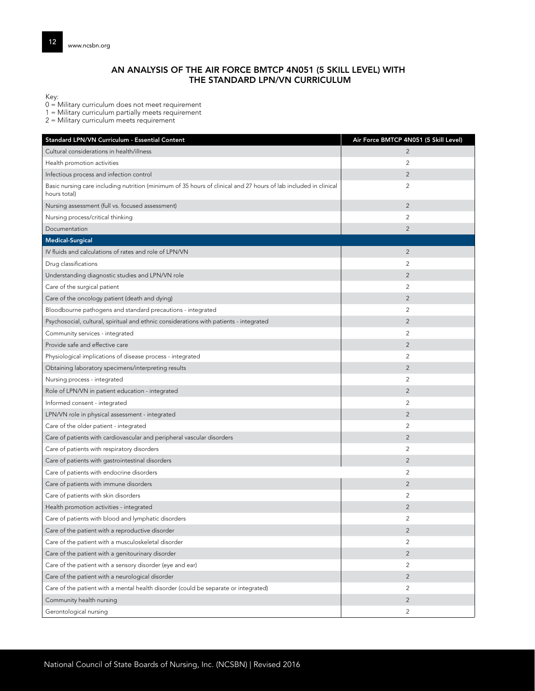#### AN ANALYSIS OF THE AIR FORCE BMTCP 4N051 (5 SKILL LEVEL) WITH THE STANDARD LPN/VN CURRICULUM

Key:

- 0 = Military curriculum does not meet requirement
- 1 = Military curriculum partially meets requirement
- 2 = Military curriculum meets requirement

| Standard LPN/VN Curriculum - Essential Content                                                                                   | Air Force BMTCP 4N051 (5 Skill Level) |
|----------------------------------------------------------------------------------------------------------------------------------|---------------------------------------|
| Cultural considerations in health/illness                                                                                        | $\overline{2}$                        |
| Health promotion activities                                                                                                      | $\overline{2}$                        |
| Infectious process and infection control                                                                                         | $\overline{2}$                        |
| Basic nursing care including nutrition (minimum of 35 hours of clinical and 27 hours of lab included in clinical<br>hours total) | $\overline{2}$                        |
| Nursing assessment (full vs. focused assessment)                                                                                 | $\overline{2}$                        |
| Nursing process/critical thinking                                                                                                | $\overline{2}$                        |
| Documentation                                                                                                                    | $\overline{2}$                        |
| <b>Medical-Surgical</b>                                                                                                          |                                       |
| IV fluids and calculations of rates and role of LPN/VN                                                                           | $\overline{2}$                        |
| Drug classifications                                                                                                             | 2                                     |
| Understanding diagnostic studies and LPN/VN role                                                                                 | $\overline{2}$                        |
| Care of the surgical patient                                                                                                     | 2                                     |
| Care of the oncology patient (death and dying)                                                                                   | $\overline{2}$                        |
| Bloodbourne pathogens and standard precautions - integrated                                                                      | 2                                     |
| Psychosocial, cultural, spiritual and ethnic considerations with patients - integrated                                           | $\overline{2}$                        |
| Community services - integrated                                                                                                  | 2                                     |
| Provide safe and effective care                                                                                                  | $\overline{2}$                        |
| Physiological implications of disease process - integrated                                                                       | $\overline{c}$                        |
| Obtaining laboratory specimens/interpreting results                                                                              | $\overline{2}$                        |
| Nursing process - integrated                                                                                                     | $\overline{2}$                        |
| Role of LPN/VN in patient education - integrated                                                                                 | $\overline{c}$                        |
| Informed consent - integrated                                                                                                    | 2                                     |
| LPN/VN role in physical assessment - integrated                                                                                  | $\overline{2}$                        |
| Care of the older patient - integrated                                                                                           | $\overline{2}$                        |
| Care of patients with cardiovascular and peripheral vascular disorders                                                           | $\overline{c}$                        |
| Care of patients with respiratory disorders                                                                                      | $\overline{2}$                        |
| Care of patients with gastrointestinal disorders                                                                                 | $\overline{2}$                        |
| Care of patients with endocrine disorders                                                                                        | $\overline{2}$                        |
| Care of patients with immune disorders                                                                                           | $\overline{2}$                        |
| Care of patients with skin disorders                                                                                             | 2                                     |
| Health promotion activities - integrated                                                                                         | $\overline{c}$                        |
| Care of patients with blood and lymphatic disorders                                                                              | 2                                     |
| Care of the patient with a reproductive disorder                                                                                 | $\overline{2}$                        |
| Care of the patient with a musculoskeletal disorder                                                                              | 2                                     |
| Care of the patient with a genitourinary disorder                                                                                | $\overline{2}$                        |
| Care of the patient with a sensory disorder (eye and ear)                                                                        | 2                                     |
| Care of the patient with a neurological disorder                                                                                 | $\overline{2}$                        |
| Care of the patient with a mental health disorder (could be separate or integrated)                                              | $\overline{2}$                        |
| Community health nursing                                                                                                         | 2                                     |
| Gerontological nursing                                                                                                           | $\overline{2}$                        |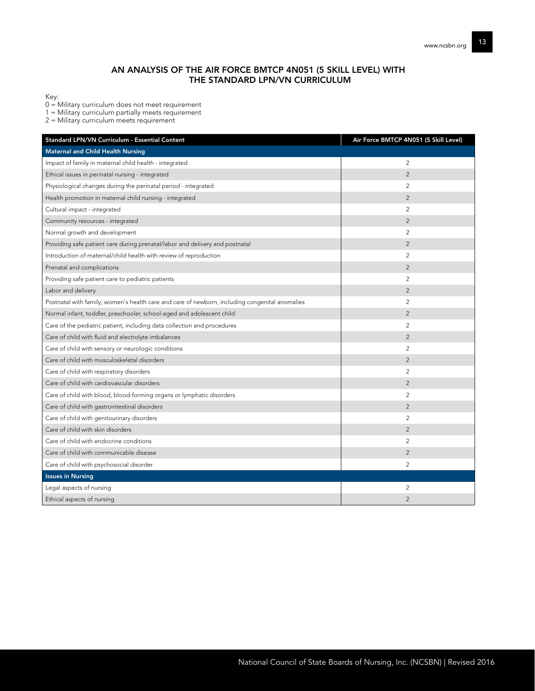#### AN ANALYSIS OF THE AIR FORCE BMTCP 4N051 (5 SKILL LEVEL) WITH THE STANDARD LPN/VN CURRICULUM

Key:

0 = Military curriculum does not meet requirement

1 = Military curriculum partially meets requirement

| Standard LPN/VN Curriculum - Essential Content                                                 | Air Force BMTCP 4N051 (5 Skill Level) |
|------------------------------------------------------------------------------------------------|---------------------------------------|
| <b>Maternal and Child Health Nursing</b>                                                       |                                       |
| Impact of family in maternal child health - integrated                                         | $\overline{c}$                        |
| Ethical issues in perinatal nursing - integrated                                               | $\overline{2}$                        |
| Physiological changes during the perinatal period - integrated                                 | $\mathfrak{p}$                        |
| Health promotion in maternal child nursing - integrated                                        | $\overline{2}$                        |
| Cultural impact - integrated                                                                   | $\mathfrak{p}$                        |
| Community resources - integrated                                                               | $\mathcal{P}$                         |
| Normal growth and development                                                                  | $\overline{c}$                        |
| Providing safe patient care during prenatal/labor and delivery and postnatal                   | 2                                     |
| Introduction of maternal/child health with review of reproduction                              | $\overline{2}$                        |
| Prenatal and complications                                                                     | $\overline{2}$                        |
| Providing safe patient care to pediatric patients                                              | $\overline{2}$                        |
| Labor and delivery                                                                             | $\overline{2}$                        |
| Postnatal with family; women's health care and care of newborn, including congenital anomalies | $\overline{2}$                        |
| Normal infant, toddler, preschooler, school-aged and adolescent child                          | $\overline{2}$                        |
| Care of the pediatric patient, including data collection and procedures                        | $\overline{2}$                        |
| Care of child with fluid and electrolyte imbalances                                            | $\overline{2}$                        |
| Care of child with sensory or neurologic conditions                                            | $\mathfrak{p}$                        |
| Care of child with musculoskeletal disorders                                                   | $\overline{2}$                        |
| Care of child with respiratory disorders                                                       | $\overline{2}$                        |
| Care of child with cardiovascular disorders                                                    | $\overline{2}$                        |
| Care of child with blood, blood-forming organs or lymphatic disorders                          | $\overline{c}$                        |
| Care of child with gastrointestinal disorders                                                  | $\overline{2}$                        |
| Care of child with genitourinary disorders                                                     | $\overline{2}$                        |
| Care of child with skin disorders                                                              | $\overline{2}$                        |
| Care of child with endocrine conditions                                                        | $\overline{2}$                        |
| Care of child with communicable disease                                                        | $\overline{2}$                        |
| Care of child with psychosocial disorder                                                       | $\overline{2}$                        |
| <b>Issues in Nursing</b>                                                                       |                                       |
| Legal aspects of nursing                                                                       | 2                                     |
| Ethical aspects of nursing                                                                     | $\overline{2}$                        |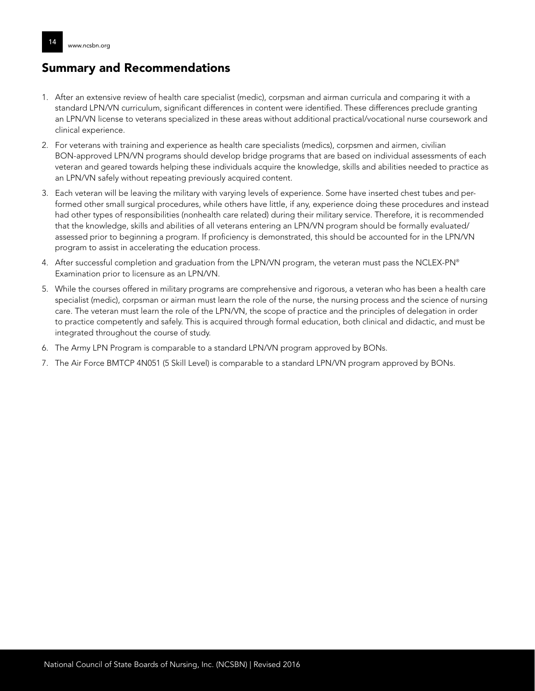### Summary and Recommendations

- 1. After an extensive review of health care specialist (medic), corpsman and airman curricula and comparing it with a standard LPN/VN curriculum, significant differences in content were identified. These differences preclude granting an LPN/VN license to veterans specialized in these areas without additional practical/vocational nurse coursework and clinical experience.
- 2. For veterans with training and experience as health care specialists (medics), corpsmen and airmen, civilian BON-approved LPN/VN programs should develop bridge programs that are based on individual assessments of each veteran and geared towards helping these individuals acquire the knowledge, skills and abilities needed to practice as an LPN/VN safely without repeating previously acquired content.
- 3. Each veteran will be leaving the military with varying levels of experience. Some have inserted chest tubes and performed other small surgical procedures, while others have little, if any, experience doing these procedures and instead had other types of responsibilities (nonhealth care related) during their military service. Therefore, it is recommended that the knowledge, skills and abilities of all veterans entering an LPN/VN program should be formally evaluated/ assessed prior to beginning a program. If proficiency is demonstrated, this should be accounted for in the LPN/VN program to assist in accelerating the education process.
- 4. After successful completion and graduation from the LPN/VN program, the veteran must pass the NCLEX-PN® Examination prior to licensure as an LPN/VN.
- 5. While the courses offered in military programs are comprehensive and rigorous, a veteran who has been a health care specialist (medic), corpsman or airman must learn the role of the nurse, the nursing process and the science of nursing care. The veteran must learn the role of the LPN/VN, the scope of practice and the principles of delegation in order to practice competently and safely. This is acquired through formal education, both clinical and didactic, and must be integrated throughout the course of study.
- 6. The Army LPN Program is comparable to a standard LPN/VN program approved by BONs.
- 7. The Air Force BMTCP 4N051 (5 Skill Level) is comparable to a standard LPN/VN program approved by BONs.